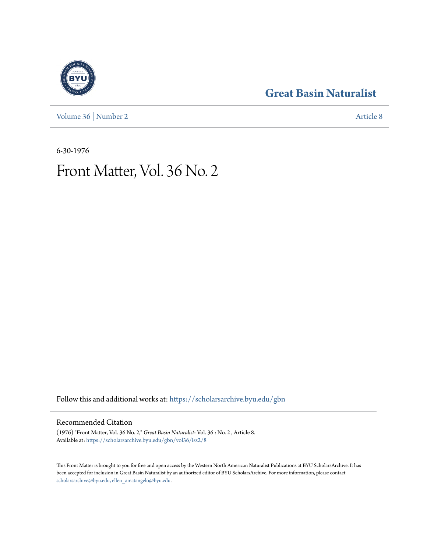**[Great Basin Naturalist](https://scholarsarchive.byu.edu/gbn?utm_source=scholarsarchive.byu.edu%2Fgbn%2Fvol36%2Fiss2%2F8&utm_medium=PDF&utm_campaign=PDFCoverPages)**

[Volume 36](https://scholarsarchive.byu.edu/gbn/vol36?utm_source=scholarsarchive.byu.edu%2Fgbn%2Fvol36%2Fiss2%2F8&utm_medium=PDF&utm_campaign=PDFCoverPages) | [Number 2](https://scholarsarchive.byu.edu/gbn/vol36/iss2?utm_source=scholarsarchive.byu.edu%2Fgbn%2Fvol36%2Fiss2%2F8&utm_medium=PDF&utm_campaign=PDFCoverPages) [Article 8](https://scholarsarchive.byu.edu/gbn/vol36/iss2/8?utm_source=scholarsarchive.byu.edu%2Fgbn%2Fvol36%2Fiss2%2F8&utm_medium=PDF&utm_campaign=PDFCoverPages)

6-30-1976

## Front Matter, Vol. 36 No. 2

Follow this and additional works at: [https://scholarsarchive.byu.edu/gbn](https://scholarsarchive.byu.edu/gbn?utm_source=scholarsarchive.byu.edu%2Fgbn%2Fvol36%2Fiss2%2F8&utm_medium=PDF&utm_campaign=PDFCoverPages)

### Recommended Citation

(1976) "Front Matter, Vol. 36 No. 2," *Great Basin Naturalist*: Vol. 36 : No. 2 , Article 8. Available at: [https://scholarsarchive.byu.edu/gbn/vol36/iss2/8](https://scholarsarchive.byu.edu/gbn/vol36/iss2/8?utm_source=scholarsarchive.byu.edu%2Fgbn%2Fvol36%2Fiss2%2F8&utm_medium=PDF&utm_campaign=PDFCoverPages)

This Front Matter is brought to you for free and open access by the Western North American Naturalist Publications at BYU ScholarsArchive. It has been accepted for inclusion in Great Basin Naturalist by an authorized editor of BYU ScholarsArchive. For more information, please contact [scholarsarchive@byu.edu, ellen\\_amatangelo@byu.edu.](mailto:scholarsarchive@byu.edu,%20ellen_amatangelo@byu.edu)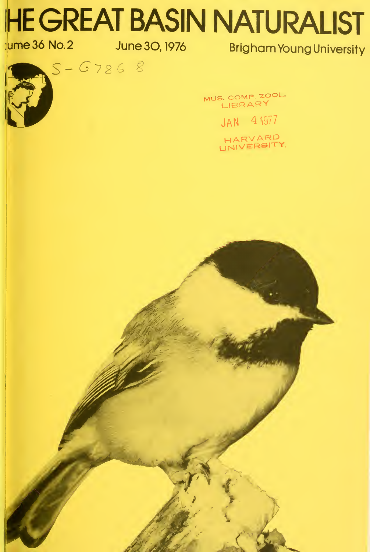# **HE GREAT BASIN NATURALIST**

## ume 36 No.2 June 30, 1976

 $S - G 7868$ 

**Brigham Young University** 

MUS. COMP. ZOOL. LIBRARY

JAN 4 1977

HARVARD<br>UNIVERSITY